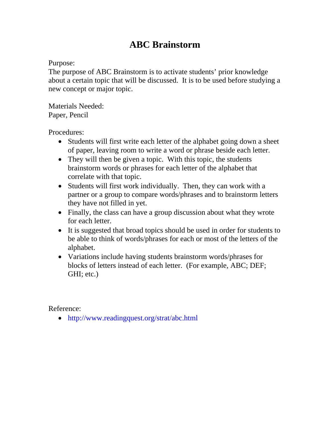# **ABC Brainstorm**

## Purpose:

The purpose of ABC Brainstorm is to activate students' prior knowledge about a certain topic that will be discussed. It is to be used before studying a new concept or major topic.

Materials Needed: Paper, Pencil

Procedures:

- Students will first write each letter of the alphabet going down a sheet of paper, leaving room to write a word or phrase beside each letter.
- They will then be given a topic. With this topic, the students brainstorm words or phrases for each letter of the alphabet that correlate with that topic.
- Students will first work individually. Then, they can work with a partner or a group to compare words/phrases and to brainstorm letters they have not filled in yet.
- Finally, the class can have a group discussion about what they wrote for each letter.
- It is suggested that broad topics should be used in order for students to be able to think of words/phrases for each or most of the letters of the alphabet.
- Variations include having students brainstorm words/phrases for blocks of letters instead of each letter. (For example, ABC; DEF; GHI; etc.)

Reference:

• <http://www.readingquest.org/strat/abc.html>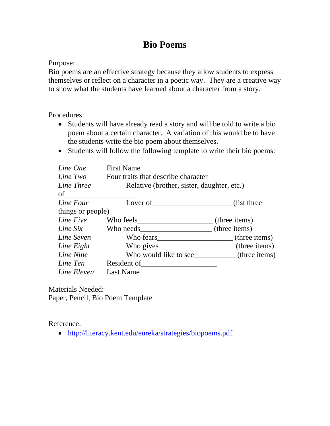# **Bio Poems**

Purpose:

Bio poems are an effective strategy because they allow students to express themselves or reflect on a character in a poetic way. They are a creative way to show what the students have learned about a character from a story.

Procedures:

- Students will have already read a story and will be told to write a bio poem about a certain character. A variation of this would be to have the students write the bio poem about themselves.
- Students will follow the following template to write their bio poems:

| Line One          | <b>First Name</b>                                                                                                                                                                                                                    |                             |  |  |
|-------------------|--------------------------------------------------------------------------------------------------------------------------------------------------------------------------------------------------------------------------------------|-----------------------------|--|--|
| Line Two          | Four traits that describe character                                                                                                                                                                                                  |                             |  |  |
| Line Three        | Relative (brother, sister, daughter, etc.)                                                                                                                                                                                           |                             |  |  |
| of                |                                                                                                                                                                                                                                      |                             |  |  |
| Line Four         | Lover of                                                                                                                                                                                                                             | (list three)                |  |  |
| things or people) |                                                                                                                                                                                                                                      |                             |  |  |
| Line Five         | Who feels <b>the contract of the contract of the contract of the contract of the contract of the contract of the contract of the contract of the contract of the contract of the contract of the contract of the contract of the</b> | $($ three items)            |  |  |
| Line Six          | Who needs                                                                                                                                                                                                                            | $($ three items)            |  |  |
| Line Seven        | Who fears                                                                                                                                                                                                                            | (three items)               |  |  |
| Line Eight        | Who gives                                                                                                                                                                                                                            | $\frac{1}{2}$ (three items) |  |  |
| Line Nine         | Who would like to see (three items)                                                                                                                                                                                                  |                             |  |  |
| Line Ten          | Resident of                                                                                                                                                                                                                          |                             |  |  |
| Line Eleven       | Last Name                                                                                                                                                                                                                            |                             |  |  |

Materials Needed: Paper, Pencil, Bio Poem Template

Reference:

• <http://literacy.kent.edu/eureka/strategies/biopoems.pdf>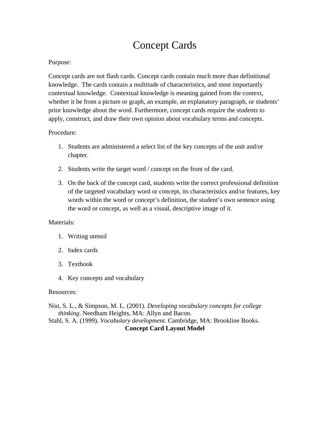# Concept Cards

## Purpose:

Concept cards are not flash cards. Concept cards contain much more than definitional knowledge. The cards contain a multitude of characteristics, and most importantly contextual knowledge. Contextual knowledge is meaning gained from the context, whether it be from a picture or graph, an example, an explanatory paragraph, or students' prior knowledge about the word. Furthermore, concept cards require the students to apply, construct, and draw their own opinion about vocabulary terms and concepts.

## Procedure:

- 1. Students are administered a select list of the key concepts of the unit and/or chapter.
- 2. Students write the target word / concept on the front of the card.
- 3. On the back of the concept card, students write the correct professional definition of the targeted vocabulary word or concept, its characteristics and/or features, key words within the word or concept's definition, the student's own sentence using the word or concept, as well as a visual, descriptive image of it.

### Materials:

- 1. Writing utensil
- 2. Index cards
- 3. Textbook
- 4. Key concepts and vocabulary

### Resources:

Nist, S. L., & Simpson, M. L. (2001). *Developing vocabulary concepts for college thinking*. Needham Heights, MA: Allyn and Bacon. Stahl, S. A. (1999). *Vocabulary development.* Cambridge, MA: Brookline Books.

### **Concept Card Layout Model**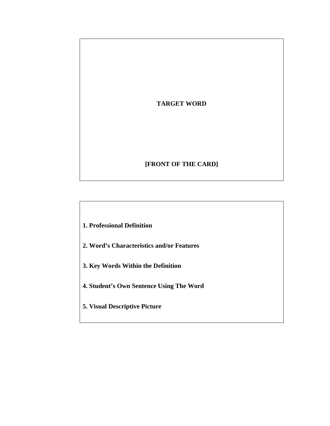**TARGET WORD** 

## **[FRONT OF THE CARD]**

- **1. Professional Definition**
- **2. Word's Characteristics and/or Features**
- **3. Key Words Within the Definition**
- **4. Student's Own Sentence Using The Word**
- **5. Visual Descriptive Picture**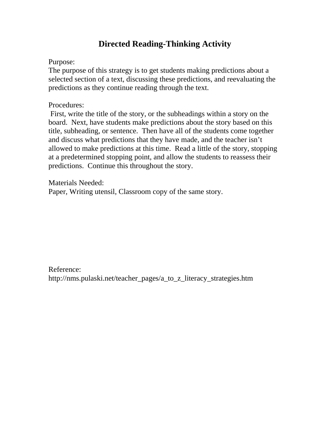## **Directed Reading-Thinking Activity**

Purpose:

The purpose of this strategy is to get students making predictions about a selected section of a text, discussing these predictions, and reevaluating the predictions as they continue reading through the text.

Procedures:

 First, write the title of the story, or the subheadings within a story on the board. Next, have students make predictions about the story based on this title, subheading, or sentence. Then have all of the students come together and discuss what predictions that they have made, and the teacher isn't allowed to make predictions at this time. Read a little of the story, stopping at a predetermined stopping point, and allow the students to reassess their predictions. Continue this throughout the story.

Materials Needed: Paper, Writing utensil, Classroom copy of the same story.

Reference: http://nms.pulaski.net/teacher\_pages/a\_to\_z\_literacy\_strategies.htm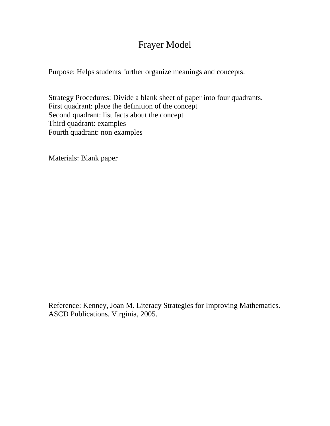# Frayer Model

Purpose: Helps students further organize meanings and concepts.

Strategy Procedures: Divide a blank sheet of paper into four quadrants. First quadrant: place the definition of the concept Second quadrant: list facts about the concept Third quadrant: examples Fourth quadrant: non examples

Materials: Blank paper

Reference: Kenney, Joan M. Literacy Strategies for Improving Mathematics. ASCD Publications. Virginia, 2005.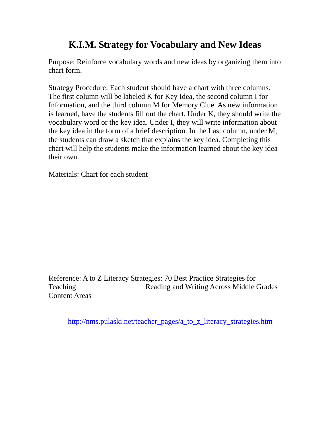# **K.I.M. Strategy for Vocabulary and New Ideas**

Purpose: Reinforce vocabulary words and new ideas by organizing them into chart form.

Strategy Procedure: Each student should have a chart with three columns. The first column will be labeled K for Key Idea, the second column I for Information, and the third column M for Memory Clue. As new information is learned, have the students fill out the chart. Under K, they should write the vocabulary word or the key idea. Under I, they will write information about the key idea in the form of a brief description. In the Last column, under M, the students can draw a sketch that explains the key idea. Completing this chart will help the students make the information learned about the key idea their own.

Materials: Chart for each student

Reference: A to Z Literacy Strategies: 70 Best Practice Strategies for Teaching Teaching Reading and Writing Across Middle Grades Content Areas

[http://nms.pulaski.net/teacher\\_pages/a\\_to\\_z\\_literacy\\_strategies.htm](http://nms.pulaski.net/teacher_pages/a_to_z_literacy_strategies.htm)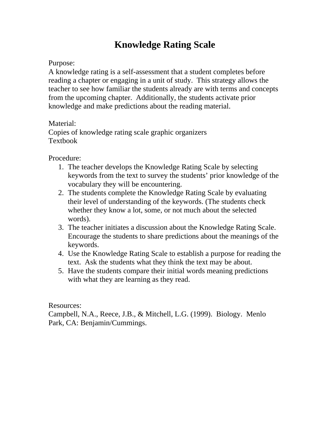# **Knowledge Rating Scale**

## Purpose:

A knowledge rating is a self-assessment that a student completes before reading a chapter or engaging in a unit of study. This strategy allows the teacher to see how familiar the students already are with terms and concepts from the upcoming chapter. Additionally, the students activate prior knowledge and make predictions about the reading material.

## Material:

Copies of knowledge rating scale graphic organizers Textbook

Procedure:

- 1. The teacher develops the Knowledge Rating Scale by selecting keywords from the text to survey the students' prior knowledge of the vocabulary they will be encountering.
- 2. The students complete the Knowledge Rating Scale by evaluating their level of understanding of the keywords. (The students check whether they know a lot, some, or not much about the selected words).
- 3. The teacher initiates a discussion about the Knowledge Rating Scale. Encourage the students to share predictions about the meanings of the keywords.
- 4. Use the Knowledge Rating Scale to establish a purpose for reading the text. Ask the students what they think the text may be about.
- 5. Have the students compare their initial words meaning predictions with what they are learning as they read.

Resources:

Campbell, N.A., Reece, J.B., & Mitchell, L.G. (1999). Biology. Menlo Park, CA: Benjamin/Cummings.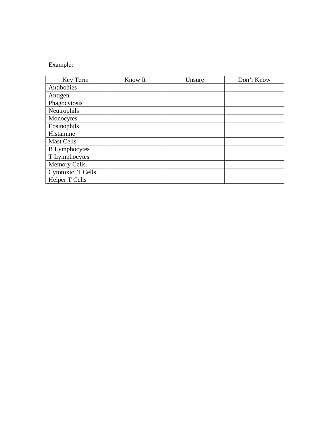## Example:

| Key Term             | Know It | Unsure | Don't Know |
|----------------------|---------|--------|------------|
| Antibodies           |         |        |            |
| Antigen              |         |        |            |
| Phagocytosis         |         |        |            |
| Neutrophils          |         |        |            |
| Monocytes            |         |        |            |
| Eosinophils          |         |        |            |
| Histamine            |         |        |            |
| <b>Mast Cells</b>    |         |        |            |
| <b>B</b> Lymphocytes |         |        |            |
| T Lymphocytes        |         |        |            |
| <b>Memory Cells</b>  |         |        |            |
| Cytotoxic T Cells    |         |        |            |
| Helper T Cells       |         |        |            |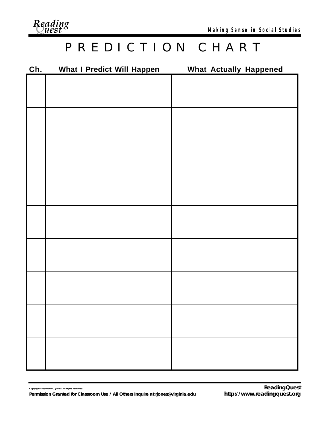*Q Reading uest*

# P R E D I C T I O N C H A R T

| <b>What I Predict Will Happen</b> | <b>What Actually Happened</b> |
|-----------------------------------|-------------------------------|
|                                   |                               |
|                                   |                               |
|                                   |                               |
|                                   |                               |
|                                   |                               |
|                                   |                               |
|                                   |                               |
|                                   |                               |
|                                   |                               |
|                                   |                               |
|                                   |                               |
|                                   |                               |
|                                   |                               |
|                                   |                               |
|                                   |                               |
|                                   |                               |
|                                   |                               |
|                                   |                               |
|                                   |                               |
|                                   |                               |
|                                   |                               |
|                                   |                               |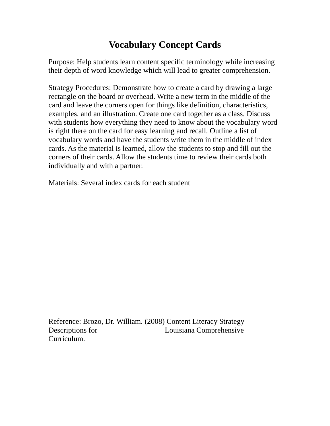# **Vocabulary Concept Cards**

Purpose: Help students learn content specific terminology while increasing their depth of word knowledge which will lead to greater comprehension.

Strategy Procedures: Demonstrate how to create a card by drawing a large rectangle on the board or overhead. Write a new term in the middle of the card and leave the corners open for things like definition, characteristics, examples, and an illustration. Create one card together as a class. Discuss with students how everything they need to know about the vocabulary word is right there on the card for easy learning and recall. Outline a list of vocabulary words and have the students write them in the middle of index cards. As the material is learned, allow the students to stop and fill out the corners of their cards. Allow the students time to review their cards both individually and with a partner.

Materials: Several index cards for each student

Reference: Brozo, Dr. William. (2008) Content Literacy Strategy Descriptions for Louisiana Comprehensive Curriculum.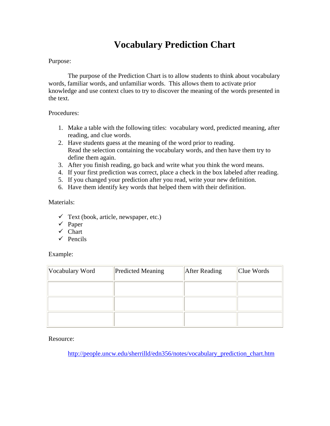# **Vocabulary Prediction Chart**

### Purpose:

The purpose of the Prediction Chart is to allow students to think about vocabulary words, familiar words, and unfamiliar words. This allows them to activate prior knowledge and use context clues to try to discover the meaning of the words presented in the text.

#### Procedures:

- 1. Make a table with the following titles: vocabulary word, predicted meaning, after reading, and clue words.
- 2. Have students guess at the meaning of the word prior to reading. Read the selection containing the vocabulary words, and then have them try to define them again.
- 3. After you finish reading, go back and write what you think the word means.
- 4. If your first prediction was correct, place a check in the box labeled after reading.
- 5. If you changed your prediction after you read, write your new definition.
- 6. Have them identify key words that helped them with their definition.

### Materials:

- $\checkmark$  Text (book, article, newspaper, etc.)
- $\checkmark$  Paper
- $\checkmark$  Chart
- $\checkmark$  Pencils

### Example:

| Vocabulary Word | Predicted Meaning | After Reading | Clue Words |
|-----------------|-------------------|---------------|------------|
|                 |                   |               |            |
|                 |                   |               |            |
|                 |                   |               |            |

Resource:

[http://people.uncw.edu/sherrilld/edn356/notes/vocabulary\\_prediction\\_chart.htm](http://people.uncw.edu/sherrilld/edn356/notes/vocabulary_prediction_chart.htm)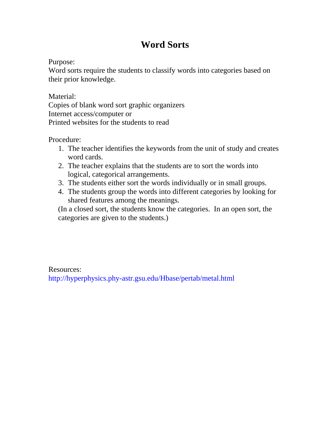# **Word Sorts**

Purpose:

Word sorts require the students to classify words into categories based on their prior knowledge.

Material:

Copies of blank word sort graphic organizers Internet access/computer or Printed websites for the students to read

Procedure:

- 1. The teacher identifies the keywords from the unit of study and creates word cards.
- 2. The teacher explains that the students are to sort the words into logical, categorical arrangements.
- 3. The students either sort the words individually or in small groups.
- 4. The students group the words into different categories by looking for shared features among the meanings.

(In a closed sort, the students know the categories. In an open sort, the categories are given to the students.)

Resources:

<http://hyperphysics.phy-astr.gsu.edu/Hbase/pertab/metal.html>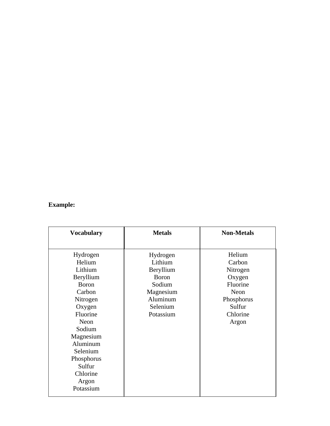## **Example:**

| <b>Vocabulary</b> | <b>Metals</b> | <b>Non-Metals</b> |
|-------------------|---------------|-------------------|
|                   |               |                   |
| Hydrogen          | Hydrogen      | Helium            |
| Helium            | Lithium       | Carbon            |
| Lithium           | Beryllium     | Nitrogen          |
| Beryllium         | <b>Boron</b>  | Oxygen            |
| <b>Boron</b>      | Sodium        | Fluorine          |
| Carbon            | Magnesium     | Neon              |
| Nitrogen          | Aluminum      | Phosphorus        |
| Oxygen            | Selenium      | Sulfur            |
| Fluorine          | Potassium     | Chlorine          |
| Neon              |               | Argon             |
| Sodium            |               |                   |
| Magnesium         |               |                   |
| Aluminum          |               |                   |
| Selenium          |               |                   |
| Phosphorus        |               |                   |
| Sulfur            |               |                   |
| Chlorine          |               |                   |
| Argon             |               |                   |
| Potassium         |               |                   |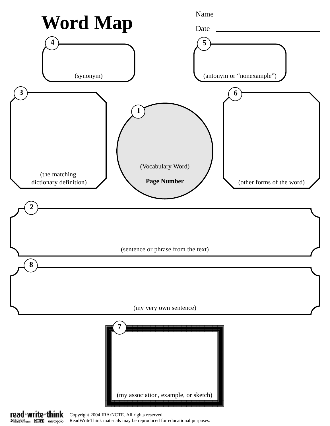